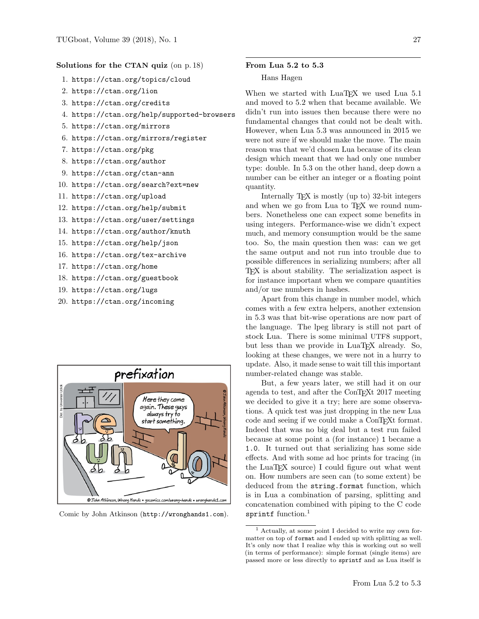## Solutions for the CTAN quiz (on p. 18)

- 1. https://ctan.org/topics/cloud
- 2. https://ctan.org/lion
- 3. https://ctan.org/credits
- 4. https://ctan.org/help/supported-browsers
- 5. https://ctan.org/mirrors
- 6. https://ctan.org/mirrors/register
- 7. https://ctan.org/pkg
- 8. https://ctan.org/author
- 9. https://ctan.org/ctan-ann
- 10. https://ctan.org/search?ext=new
- 11. https://ctan.org/upload
- 12. https://ctan.org/help/submit
- 13. https://ctan.org/user/settings
- 14. https://ctan.org/author/knuth
- 15. https://ctan.org/help/json
- 16. https://ctan.org/tex-archive
- 17. https://ctan.org/home
- 18. https://ctan.org/guestbook
- 19. https://ctan.org/lugs
- 20. https://ctan.org/incoming



Comic by John Atkinson (<http://wronghands1.com>).

## From Lua 5.2 to 5.3

### Hans Hagen

When we started with LuaTEX we used Lua 5.1 and moved to 5.2 when that became available. We didn't run into issues then because there were no fundamental changes that could not be dealt with. However, when Lua 5.3 was announced in 2015 we were not sure if we should make the move. The main reason was that we'd chosen Lua because of its clean design which meant that we had only one number type: double. In 5.3 on the other hand, deep down a number can be either an integer or a floating point quantity.

Internally T<sub>F</sub>X is mostly (up to) 32-bit integers and when we go from Lua to TFX we round numbers. Nonetheless one can expect some benefits in using integers. Performance-wise we didn't expect much, and memory consumption would be the same too. So, the main question then was: can we get the same output and not run into trouble due to possible differences in serializing numbers; after all TEX is about stability. The serialization aspect is for instance important when we compare quantities and/or use numbers in hashes.

Apart from this change in number model, which comes with a few extra helpers, another extension in 5.3 was that bit-wise operations are now part of the language. The lpeg library is still not part of stock Lua. There is some minimal UTF8 support, but less than we provide in LuaT<sub>EX</sub> already. So, looking at these changes, we were not in a hurry to update. Also, it made sense to wait till this important number-related change was stable.

But, a few years later, we still had it on our agenda to test, and after the ConT<sub>EXt</sub> 2017 meeting we decided to give it a try; here are some observations. A quick test was just dropping in the new Lua code and seeing if we could make a ConTEXt format. Indeed that was no big deal but a test run failed because at some point a (for instance) 1 became a 1.0. It turned out that serializing has some side effects. And with some ad hoc prints for tracing (in the LuaTEX source) I could figure out what went on. How numbers are seen can (to some extent) be deduced from the string.format function, which is in Lua a combination of parsing, splitting and concatenation combined with piping to the C code sprintf function. $<sup>1</sup>$  $<sup>1</sup>$  $<sup>1</sup>$ </sup>

<span id="page-0-0"></span><sup>1</sup> Actually, at some point I decided to write my own formatter on top of format and I ended up with splitting as well. It's only now that I realize why this is working out so well (in terms of performance): simple format (single items) are passed more or less directly to sprintf and as Lua itself is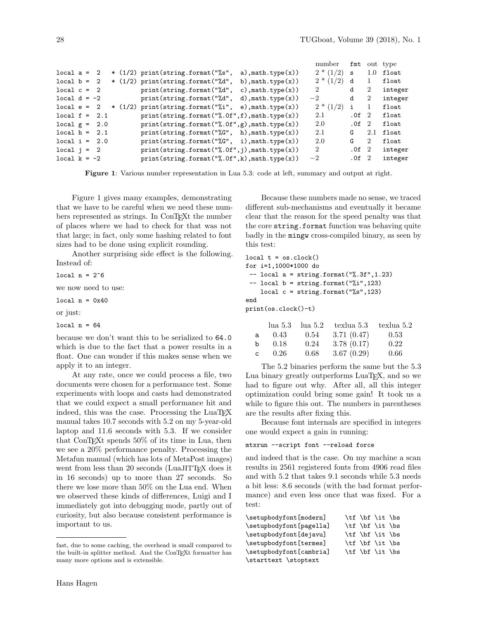|                 |  |  |                                                  |                                  | number         | fmt              |                | out type            |
|-----------------|--|--|--------------------------------------------------|----------------------------------|----------------|------------------|----------------|---------------------|
| $local a = 2$   |  |  | $*(1/2)$ print(string.format("%s",               | a), math.type $(x)$ )            | $2*(1/2)$      | S                | 1.0            | $_{\texttt{float}}$ |
| $local b = 2$   |  |  | $*(1/2)$ print (string.format ("%d",             | b), $mathsf{math}$ , $type(x)$ ) | $2*(1/2)$      | d                | 1              | $_{\tt float}$      |
| $local c = 2$   |  |  | print(string.format("%d",                        | c), $mathsf{math}$ , $type(x)$   | $\overline{2}$ | d                | 2              | integer             |
| local $d = -2$  |  |  | print(string.format("%d",                        | d), math.type $(x)$ )            | $-2$           | d                | $\overline{2}$ | integer             |
| $local e = 2$   |  |  | $*(1/2)$ print(string.format("%i",               | $e)$ , math. type $(x)$ )        | $2*(1/2)$      | i                | 1              | float               |
| $local f = 2.1$ |  |  | $print(string.format("", 0f", f), math_type(x))$ |                                  | 2.1            | .0f <sub>2</sub> |                | $_{\tt float}$      |
| local $g = 2.0$ |  |  | $print(string.format("", 0f", g), math_type(x))$ |                                  | 2.0            | .0f <sub>2</sub> |                | $_{\tt float}$      |
| $local h = 2.1$ |  |  | $print(string.format("\\"G", h), math_type(x))$  |                                  | 2.1            | G                | 2.1            | float               |
| $local i = 2.0$ |  |  | $print(string.format("\\%G", i), math_type(x))$  |                                  | 2.0            | G                | 2              | float               |
| $local$ $i = 2$ |  |  | $print(string.format("", 0f", j), math_type(x))$ |                                  | $\overline{2}$ | .0f <sub>2</sub> |                | integer             |
| local $k = -2$  |  |  | $print(string.format("", 0f", k), math_type(x))$ |                                  | $-2$           | .0f <sub>2</sub> |                | integer             |

<span id="page-1-0"></span>Figure 1: Various number representation in Lua 5.3: code at left, summary and output at right.

Figure [1](#page-1-0) gives many examples, demonstrating that we have to be careful when we need these numbers represented as strings. In ConTEXt the number of places where we had to check for that was not that large; in fact, only some hashing related to font sizes had to be done using explicit rounding.

Another surprising side effect is the following. Instead of:

local  $n = 2^6$ 

we now need to use:

local  $n = 0x40$ 

or just:

local  $n = 64$ 

because we don't want this to be serialized to 64.0 which is due to the fact that a power results in a float. One can wonder if this makes sense when we apply it to an integer.

At any rate, once we could process a file, two documents were chosen for a performance test. Some experiments with loops and casts had demonstrated that we could expect a small performance hit and indeed, this was the case. Processing the LuaT<sub>EX</sub> manual takes 10.7 seconds with 5.2 on my 5-year-old laptop and 11.6 seconds with 5.3. If we consider that ConTEXt spends 50% of its time in Lua, then we see a 20% performance penalty. Processing the Metafun manual (which has lots of MetaPost images) went from less than 20 seconds (LuaJITTEX does it in 16 seconds) up to more than 27 seconds. So there we lose more than 50% on the Lua end. When we observed these kinds of differences, Luigi and I immediately got into debugging mode, partly out of curiosity, but also because consistent performance is important to us.

Because these numbers made no sense, we traced different sub-mechanisms and eventually it became clear that the reason for the speed penalty was that the core string.format function was behaving quite badly in the mingw cross-compiled binary, as seen by this test:

 $local t = os.close()$ for i=1,1000\*1000 do  $-$  local a = string.format("%.3f", 1.23)  $--$  local  $b =$  string.format("%i",123) local  $c = string.format("%s", 123)$ end print(os.clock()-t)

|              | lua 5.3 | lua 5.2 | texlua 5.3 | texlua 5.2 |
|--------------|---------|---------|------------|------------|
| a            | 0.43    | 0.54    | 3.71(0.47) | 0.53       |
| $b$          | 0.18    | 0.24    | 3.78(0.17) | 0.22       |
| $\mathsf{C}$ | 0.26    | 0.68    | 3.67(0.29) | 0.66       |

The 5.2 binaries perform the same but the 5.3 Lua binary greatly outperforms LuaT<sub>EX</sub>, and so we had to figure out why. After all, all this integer optimization could bring some gain! It took us a while to figure this out. The numbers in parentheses are the results after fixing this.

Because font internals are specified in integers one would expect a gain in running:

```
mtxrun --script font --reload force
```
and indeed that is the case. On my machine a scan results in 2561 registered fonts from 4906 read files and with 5.2 that takes 9.1 seconds while 5.3 needs a bit less: 8.6 seconds (with the bad format performance) and even less once that was fixed. For a test:

| \setupbodyfont[modern]  |  | \tf \bf \it \bs |  |
|-------------------------|--|-----------------|--|
| \setupbodyfont[pagella] |  | \tf \bf \it \bs |  |
| \setupbodyfont[dejavu]  |  | \tf \bf \it \bs |  |
| \setupbodyfont[termes]  |  | \tf \bf \it \bs |  |
| \setupbodyfont[cambria] |  | \tf \bf \it \bs |  |
| \starttext \stoptext    |  |                 |  |

fast, due to some caching, the overhead is small compared to the built-in splitter method. And the ConTEXt formatter has many more options and is extensible.